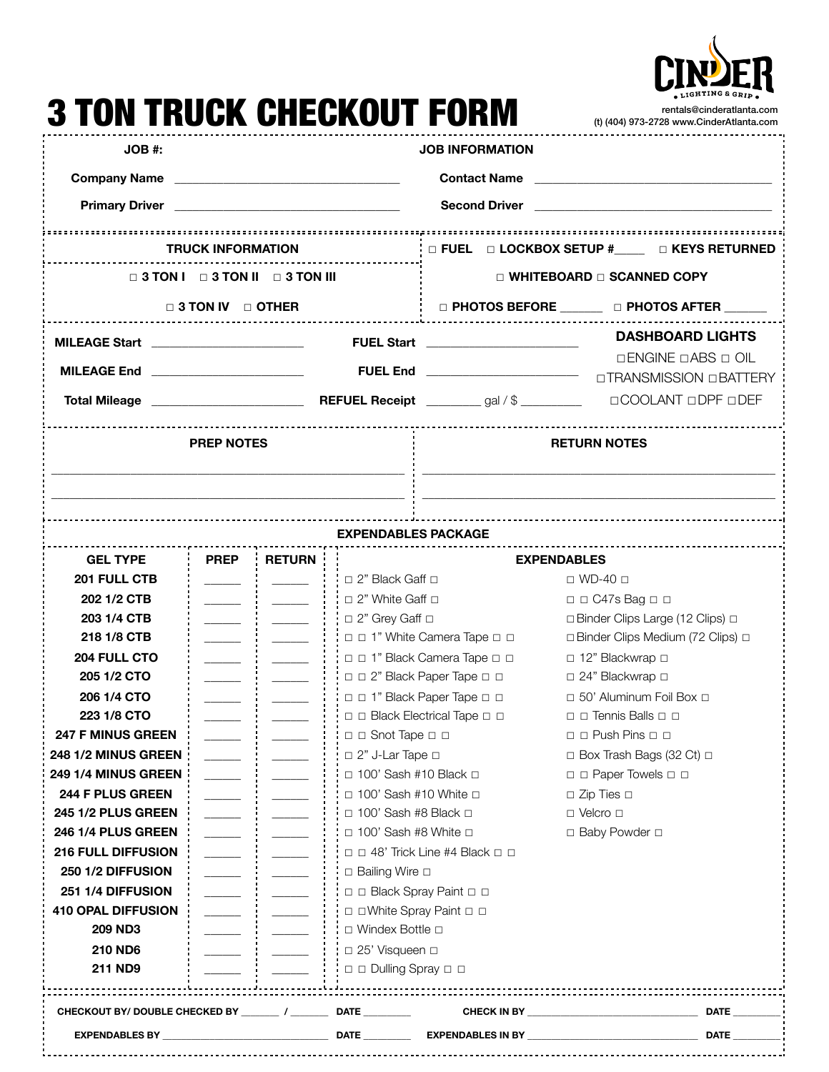

## 3 TON TRUCK CHECKOUT FORM rentals@cinderatlanta.com (t) (404) 973-2728 [www.CinderAtlanta.com](http://www.CinderAtlanta.com) **JOB #: JOB INFORMATION Company Name Company Allegers and Contact Name Contact Name Contact Name Contact Name Contact Name Contact Name Primary Driver Letter and Second Driver Constanting Second Driver Constanting Second Driver Constanting Second Driver TRUCK INFORMATION** ☐ **FUEL** ☐ **LOCKBOX SETUP #\_\_\_\_\_** ☐ **KEYS RETURNED** ☐ **3 TON I** ☐ **3 TON II** ☐ **3 TON III** ☐ **WHITEBOARD** ☐ **SCANNED COPY** ☐ **3 TON IV** ☐ **OTHER** ☐ **PHOTOS BEFORE \_\_\_\_\_\_\_** ☐ **PHOTOS AFTER \_\_\_\_\_\_\_ MILEAGE Start** \_\_\_\_\_\_\_\_\_\_\_\_\_\_\_\_\_\_\_\_\_\_\_\_\_ **FUEL Start** \_\_\_\_\_\_\_\_\_\_\_\_\_\_\_\_\_\_\_\_\_\_\_\_\_ **DASHBOARD LIGHTS**  ☐ENGINE ☐ABS ☐ OIL **MILEAGE End** \_\_\_\_\_\_\_\_\_\_\_\_\_\_\_\_\_\_\_\_\_\_\_\_\_ **FUEL End** \_\_\_\_\_\_\_\_\_\_\_\_\_\_\_\_\_\_\_\_\_\_\_\_\_ — □TRANSMISSION □BATTERY **Total Mileage** \_\_\_\_\_\_\_\_\_\_\_\_\_\_\_\_\_\_\_\_\_\_\_\_\_ **REFUEL Receipt** \_\_\_\_\_\_\_\_\_ gal / \$ \_\_\_\_\_\_\_\_\_\_ ☐COOLANT ☐DPF ☐DEF **PREP NOTES RETURN NOTES \_\_\_\_\_\_\_\_\_\_\_\_\_\_\_\_\_\_\_\_\_\_\_\_\_\_\_\_\_\_\_\_\_\_\_\_\_\_\_\_\_\_\_\_\_\_\_\_\_\_\_\_\_\_\_\_\_\_ \_\_\_\_\_\_\_\_\_\_\_\_\_\_\_\_\_\_\_\_\_\_\_\_\_\_\_\_\_\_\_\_\_\_\_\_\_\_\_\_\_\_\_\_\_\_\_\_\_\_\_\_\_\_\_\_\_\_ \_\_\_\_\_\_\_\_\_\_\_\_\_\_\_\_\_\_\_\_\_\_\_\_\_\_\_\_\_\_\_\_\_\_\_\_\_\_\_\_\_\_\_\_\_\_\_\_\_\_\_\_\_\_\_\_\_\_ \_\_\_\_\_\_\_\_\_\_\_\_\_\_\_\_\_\_\_\_\_\_\_\_\_\_\_\_\_\_\_\_\_\_\_\_\_\_\_\_\_\_\_\_\_\_\_\_\_\_\_\_\_\_\_\_\_\_EXPENDABLES PACKAGE GEL TYPE PREP RETURN EXPENDABLES 201 FULL CTB \_\_\_\_\_\_ \_\_\_\_\_\_** ☐ 2" Black Gaff ☐ ☐ WD-40 ☐ **202 1/2 CTB dia algebra 1/2 CTB dia algebra 1/2 CTB dia algebra 2** 1/2 C47s Bag □ □ **203 1/4 CTB decision is a constant of the clips of the clips Clips Large (12 Clips)** □ **218 1/8 CTB diagonal and in the Camera Tape □ □** □ **□Binder Clips Medium (72 Clips)** □ **204 FULL CTO \_\_\_\_\_\_ \_\_\_\_\_\_** ☐ ☐ 1" Black Camera Tape ☐ ☐ ☐ 12" Blackwrap ☐ **205 1/2 CTO i** <u>\_\_\_\_\_\_</u> **i i** □ □ <sup>2</sup> Black Paper Tape □ □ □ □ □ 24" Blackwrap □ **206 1/4 CTO dialy assumed as a contract of the set of the 1** in  $\Box$  1" Black Paper Tape □ □ □ □ □ 50' Aluminum Foil Box □ **223 1/8 CTO**  $\vdots$   $\vdots$   $\vdots$   $\Box$  □ Black Electrical Tape □ □ ◯ ◯ ¯ Tennis Balls □ □ **247 F MINUS GREEN decision and the set of the solution of the Snot Tape □ □ 248 1/2 MINUS GREEN**  $\vdots$   $\vdots$   $\vdots$   $\vdots$   $\vdots$   $\vdots$   $\vdots$   $\vdots$   $\vdots$   $\vdots$   $\vdots$   $\vdots$   $\vdots$   $\vdots$   $\vdots$   $\vdots$   $\vdots$   $\vdots$   $\vdots$   $\vdots$   $\vdots$   $\vdots$   $\vdots$   $\vdots$   $\vdots$   $\vdots$   $\vdots$   $\vdots$   $\vdots$   $\vdots$   $\vdots$   $\vdots$   $\vdots$  **249 1/4 MINUS GREEN \_\_\_\_\_\_ \_\_\_\_\_\_** ☐ 100' Sash #10 Black ☐ ☐ ☐ Paper Towels ☐ ☐ **244 F PLUS GREEN \_\_\_\_\_\_ \_\_\_\_\_\_** ☐ 100' Sash #10 White ☐ ☐ Zip Ties ☐ **245 1/2 PLUS GREEN decision and intervals in the set of the set of the set of the set of the set of the set of the set of the set of the set of the set of the set of the set of the set of the set of the set of the set 246 1/4 PLUS GREEN i let us i let us i let us** 100' Sash #8 White □ □ **□** Baby Powder □ **216 FULL DIFFUSION** *Letter and a letter and a letter and a letter a* **letter and <b>a** letter and **c 250 1/2 DIFFUSION :** \_\_\_\_\_ **:** \_\_\_\_\_ **:**  $\qquad$  **:** □ Bailing Wire □ **251 1/4 DIFFUSION :** \_\_\_\_\_ **:** \_\_\_\_\_\_ **: :** □ □ Black Spray Paint □ □ **410 OPAL DIFFUSION definition definition definition definition definition definition definition definition definition definition definition definition definition definition definition defi 209 ND3 divided in the absolute of a U** i ∴ □ Windex Bottle □ **210 ND6 \_\_\_\_\_\_ \_\_\_\_\_\_** ☐ 25' Visqueen ☐ **211 ND9 i** <u>\_\_\_\_\_</u> **i** \_\_\_\_\_\_ **i** i □ □ Dulling Spray □ □ **CHECKOUT BY/ DOUBLE CHECKED BY \_\_\_\_\_\_\_\_ / \_\_\_\_\_\_\_\_ DATE \_\_\_\_\_\_\_\_\_\_ CHECK IN BY \_\_\_\_\_\_\_\_\_\_\_\_\_\_\_\_\_\_\_\_\_\_\_\_\_\_\_\_\_\_\_\_\_\_\_\_ DATE \_\_\_\_\_\_\_\_\_\_**

**EXPENDABLES BY \_\_\_\_\_\_\_\_\_\_\_\_\_\_\_\_\_\_\_\_\_\_\_\_\_\_\_\_\_\_\_\_\_\_\_ DATE \_\_\_\_\_\_\_\_\_\_ EXPENDABLES IN BY \_\_\_\_\_\_\_\_\_\_\_\_\_\_\_\_\_\_\_\_\_\_\_\_\_\_\_\_\_\_\_\_\_\_\_\_ DATE \_\_\_\_\_\_\_\_\_\_**